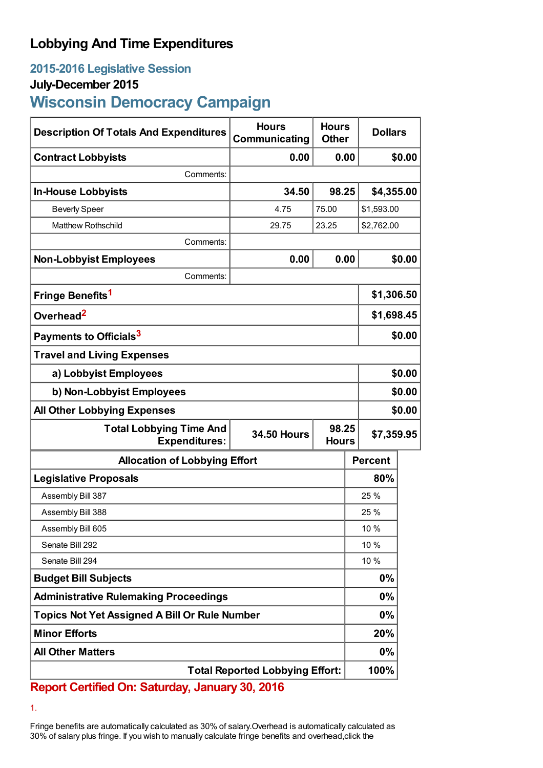## **Lobbying And Time Expenditures**

### **2015-2016 Legislative Session**

#### **July-December 2015**

# **Wisconsin Democracy Campaign**

| <b>Description Of Totals And Expenditures</b>                                                         | <b>Hours</b><br>Communicating | <b>Hours</b><br><b>Other</b> |            | <b>Dollars</b> |        |
|-------------------------------------------------------------------------------------------------------|-------------------------------|------------------------------|------------|----------------|--------|
| <b>Contract Lobbyists</b>                                                                             | 0.00                          |                              | 0.00       |                | \$0.00 |
| Comments:                                                                                             |                               |                              |            |                |        |
| <b>In-House Lobbyists</b>                                                                             | 34.50                         | 98.25                        |            | \$4,355.00     |        |
| <b>Beverly Speer</b>                                                                                  | 4.75                          | 75.00                        |            | \$1,593.00     |        |
| <b>Matthew Rothschild</b>                                                                             | 29.75                         | 23.25                        |            | \$2,762.00     |        |
| Comments:                                                                                             |                               |                              |            |                |        |
| <b>Non-Lobbyist Employees</b>                                                                         | 0.00                          | 0.00                         |            |                | \$0.00 |
| Comments:                                                                                             |                               |                              |            |                |        |
| Fringe Benefits <sup>1</sup>                                                                          |                               |                              | \$1,306.50 |                |        |
| Overhead <sup>2</sup>                                                                                 |                               |                              |            | \$1,698.45     |        |
| Payments to Officials <sup>3</sup>                                                                    |                               |                              |            | \$0.00         |        |
| <b>Travel and Living Expenses</b>                                                                     |                               |                              |            |                |        |
| a) Lobbyist Employees                                                                                 |                               |                              |            | \$0.00         |        |
| b) Non-Lobbyist Employees                                                                             |                               |                              |            | \$0.00         |        |
| <b>All Other Lobbying Expenses</b>                                                                    |                               |                              |            | \$0.00         |        |
| 98.25<br><b>Total Lobbying Time And</b><br><b>34.50 Hours</b><br><b>Expenditures:</b><br><b>Hours</b> |                               |                              | \$7,359.95 |                |        |
| <b>Allocation of Lobbying Effort</b>                                                                  |                               |                              |            | <b>Percent</b> |        |
| <b>Legislative Proposals</b>                                                                          |                               |                              |            | 80%            |        |
| Assembly Bill 387                                                                                     |                               |                              |            | 25 %           |        |
| Assembly Bill 388                                                                                     |                               |                              |            | 25 %           |        |
| Assembly Bill 605                                                                                     |                               |                              | 10 %       |                |        |
| Senate Bill 292                                                                                       |                               |                              | 10 %       |                |        |
| Senate Bill 294                                                                                       |                               |                              | 10 %       |                |        |
| <b>Budget Bill Subjects</b>                                                                           |                               |                              |            | $0\%$          |        |
| <b>Administrative Rulemaking Proceedings</b>                                                          |                               |                              |            | $0\%$          |        |
| <b>Topics Not Yet Assigned A Bill Or Rule Number</b>                                                  |                               |                              | $0\%$      |                |        |
| <b>Minor Efforts</b>                                                                                  |                               |                              |            | 20%            |        |
| <b>All Other Matters</b>                                                                              |                               |                              |            | $0\%$          |        |
| <b>Total Reported Lobbying Effort:</b>                                                                |                               |                              |            | 100%           |        |

**Report Certified On: Saturday, January 30, 2016**

1.

Fringe benefits are automatically calculated as 30% of salary.Overhead is automatically calculated as 30% of salary plus fringe. If you wish to manually calculate fringe benefits and overhead,click the